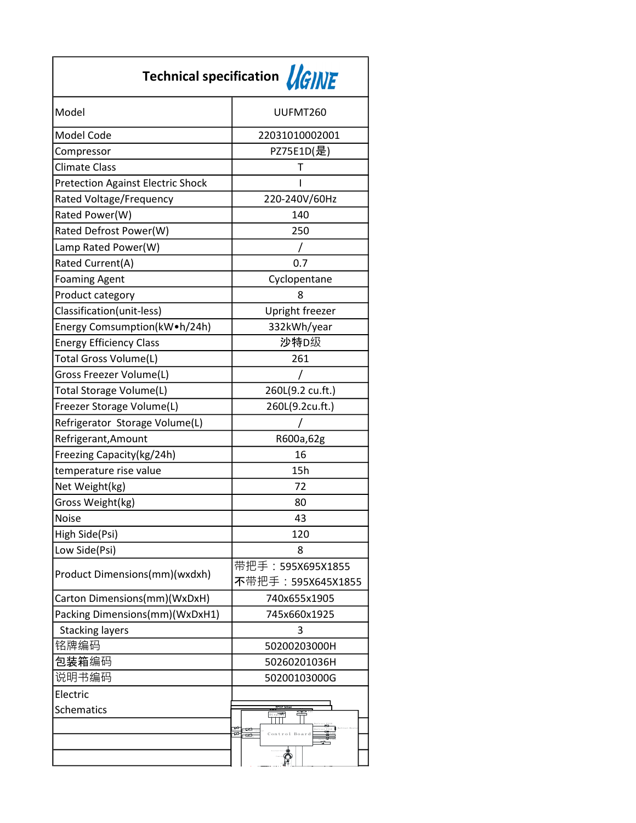| Technical specification <b>AGINE</b>     |                                      |  |
|------------------------------------------|--------------------------------------|--|
| Model                                    | UUFMT260                             |  |
| <b>Model Code</b>                        | 22031010002001                       |  |
| Compressor                               | PZ75E1D(是)                           |  |
| Climate Class                            | Т                                    |  |
| <b>Pretection Against Electric Shock</b> | ı                                    |  |
| Rated Voltage/Frequency                  | 220-240V/60Hz                        |  |
| Rated Power(W)                           | 140                                  |  |
| Rated Defrost Power(W)                   | 250                                  |  |
| Lamp Rated Power(W)                      |                                      |  |
| Rated Current(A)                         | 0.7                                  |  |
| <b>Foaming Agent</b>                     | Cyclopentane                         |  |
| Product category                         | 8                                    |  |
| Classification(unit-less)                | Upright freezer                      |  |
| Energy Comsumption(kW.h/24h)             | 332kWh/year                          |  |
| <b>Energy Efficiency Class</b>           | 沙特D级                                 |  |
| Total Gross Volume(L)                    | 261                                  |  |
| Gross Freezer Volume(L)                  |                                      |  |
| Total Storage Volume(L)                  | 260L(9.2 cu.ft.)                     |  |
| Freezer Storage Volume(L)                | 260L(9.2cu.ft.)                      |  |
| Refrigerator Storage Volume(L)           |                                      |  |
| Refrigerant, Amount                      | R600a,62g                            |  |
| Freezing Capacity(kg/24h)                | 16                                   |  |
| temperature rise value                   | 15h                                  |  |
| Net Weight(kg)                           | 72                                   |  |
| Gross Weight(kg)                         | 80                                   |  |
| <b>Noise</b>                             | 43                                   |  |
| High Side(Psi)                           | 120                                  |  |
| Low Side(Psi)                            | 8                                    |  |
| Product Dimensions(mm)(wxdxh)            | 带把手: 595X695X1855                    |  |
|                                          | 不带把手: 595X645X1855                   |  |
| Carton Dimensions(mm)(WxDxH)             | 740x655x1905                         |  |
| Packing Dimensions(mm)(WxDxH1)           | 745x660x1925                         |  |
| <b>Stacking layers</b>                   | 3                                    |  |
| 铭牌编码                                     | 50200203000H                         |  |
| 包装箱编码                                    | 50260201036H                         |  |
| 说明书编码                                    | 50200103000G                         |  |
| Electric                                 |                                      |  |
| <b>Schematics</b>                        | $_{\rm{Di\,s\,p}\overline{1\,a\,y}}$ |  |
|                                          | ≂<br>trol Boar                       |  |